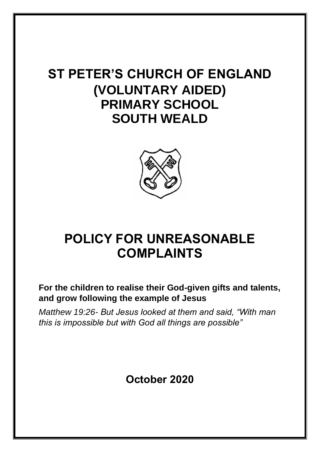# **ST PETER'S CHURCH OF ENGLAND (VOLUNTARY AIDED) PRIMARY SCHOOL SOUTH WEALD**



# **POLICY FOR UNREASONABLE COMPLAINTS**

**For the children to realise their God-given gifts and talents, and grow following the example of Jesus** 

*Matthew 19:26- But Jesus looked at them and said, "With man this is impossible but with God all things are possible"* 

## **October 2020**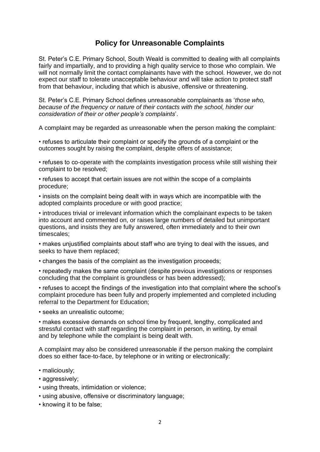#### **Policy for Unreasonable Complaints**

St. Peter's C.E. Primary School, South Weald is committed to dealing with all complaints fairly and impartially, and to providing a high quality service to those who complain. We will not normally limit the contact complainants have with the school. However, we do not expect our staff to tolerate unacceptable behaviour and will take action to protect staff from that behaviour, including that which is abusive, offensive or threatening.

St. Peter's C.E. Primary School defines unreasonable complainants as '*those who, because of the frequency or nature of their contacts with the school, hinder our consideration of their or other people's complaints*'.

A complaint may be regarded as unreasonable when the person making the complaint:

• refuses to articulate their complaint or specify the grounds of a complaint or the outcomes sought by raising the complaint, despite offers of assistance;

• refuses to co-operate with the complaints investigation process while still wishing their complaint to be resolved;

• refuses to accept that certain issues are not within the scope of a complaints procedure;

• insists on the complaint being dealt with in ways which are incompatible with the adopted complaints procedure or with good practice;

• introduces trivial or irrelevant information which the complainant expects to be taken into account and commented on, or raises large numbers of detailed but unimportant questions, and insists they are fully answered, often immediately and to their own timescales;

• makes unjustified complaints about staff who are trying to deal with the issues, and seeks to have them replaced;

• changes the basis of the complaint as the investigation proceeds;

• repeatedly makes the same complaint (despite previous investigations or responses concluding that the complaint is groundless or has been addressed);

• refuses to accept the findings of the investigation into that complaint where the school's complaint procedure has been fully and properly implemented and completed including referral to the Department for Education;

• seeks an unrealistic outcome;

• makes excessive demands on school time by frequent, lengthy, complicated and stressful contact with staff regarding the complaint in person, in writing, by email and by telephone while the complaint is being dealt with.

A complaint may also be considered unreasonable if the person making the complaint does so either face-to-face, by telephone or in writing or electronically:

- maliciously;
- aggressively;
- using threats, intimidation or violence;
- using abusive, offensive or discriminatory language;
- knowing it to be false;